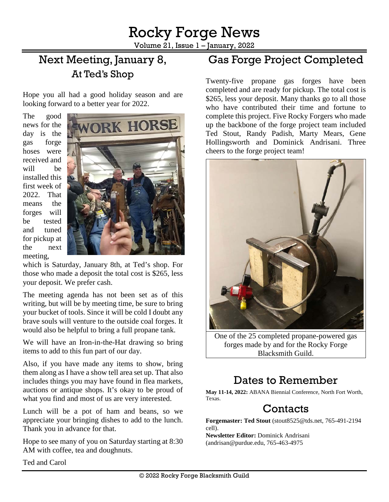Volume 21, Issue 1 – January, 2022

# Next Meeting, January 8, At Ted's Shop

Hope you all had a good holiday season and are looking forward to a better year for 2022.

The good news for the day is the gas forge hoses were received and will be installed this first week of 2022. That means the forges will be tested and tuned for pickup at the next meeting,



which is Saturday, January 8th, at Ted's shop. For those who made a deposit the total cost is \$265, less your deposit. We prefer cash.

The meeting agenda has not been set as of this writing, but will be by meeting time, be sure to bring your bucket of tools. Since it will be cold I doubt any brave souls will venture to the outside coal forges. It would also be helpful to bring a full propane tank.

We will have an Iron-in-the-Hat drawing so bring items to add to this fun part of our day.

Also, if you have made any items to show, bring them along as I have a show tell area set up. That also includes things you may have found in flea markets, auctions or antique shops. It's okay to be proud of what you find and most of us are very interested.

Lunch will be a pot of ham and beans, so we appreciate your bringing dishes to add to the lunch. Thank you in advance for that.

Hope to see many of you on Saturday starting at 8:30 AM with coffee, tea and doughnuts.

## Gas Forge Project Completed

Twenty-five propane gas forges have been completed and are ready for pickup. The total cost is \$265, less your deposit. Many thanks go to all those who have contributed their time and fortune to complete this project. Five Rocky Forgers who made up the backbone of the forge project team included Ted Stout, Randy Padish, Marty Mears, Gene Hollingsworth and Dominick Andrisani. Three cheers to the forge project team!



One of the 25 completed propane-powered gas forges made by and for the Rocky Forge Blacksmith Guild.

## Dates to Remember

**May 11-14, 2022:** ABANA Biennial Conference, North Fort Worth, Texas.

#### **Contacts**

**Forgemaster: Ted Stout** [\(stout8525@tds.net,](mailto:stout8525@tds.net) 765-491-2194 cell).

**Newsletter Editor:** Dominick Andrisani [\(andrisan@purdue.edu,](mailto:andrisan@purdue.edu) 765-463-4975

Ted and Carol